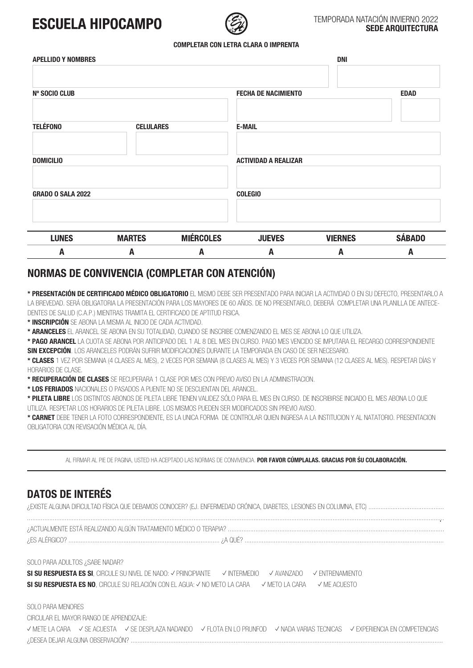# **FSCUFI A HIPOCAMPO**



### TEMPORADA NATACIÓN INVIERNO 2022 **SEDE ARQUITECTURA**

#### **COMPLETAR CON LETRA CLARA O IMPRENTA**

| <b>APELLIDO Y NOMBRES</b> |                  |                  | <b>DNI</b>                                |                |               |
|---------------------------|------------------|------------------|-------------------------------------------|----------------|---------------|
|                           |                  |                  |                                           |                |               |
| <b>Nº SOCIO CLUB</b>      |                  |                  | <b>FECHA DE NACIMIENTO</b><br><b>EDAD</b> |                |               |
|                           |                  |                  |                                           |                |               |
| <b>TELÉFONO</b>           | <b>CELULARES</b> |                  | <b>E-MAIL</b>                             |                |               |
|                           |                  |                  |                                           |                |               |
| <b>DOMICILIO</b>          |                  |                  | <b>ACTIVIDAD A REALIZAR</b>               |                |               |
|                           |                  |                  |                                           |                |               |
| <b>GRADO O SALA 2022</b>  |                  |                  | <b>COLEGIO</b>                            |                |               |
|                           |                  |                  |                                           |                |               |
| <b>LUNES</b>              | <b>MARTES</b>    | <b>MIÉRCOLES</b> | <b>JUEVES</b>                             | <b>VIERNES</b> | <b>SÁBADO</b> |
| A                         | A                | Α                | A                                         | A              | A             |

## **NORMAS DE CONVIVENCIA (COMPLETAR CON ATENCIÓN)**

**\* PRESENTACIÓN DE CERTIFICADO MÉDICO OBLIGATORIO** EL MISMO DEBE SER PRESENTADO PARA INICIAR LA ACTIVIDAD O EN SU DEFECTO, PRESENTARLO A LA BREVEDAD. SERÁ OBLIGATORIA LA PRESENTACIÓN PARA LOS MAYORES DE 60 AÑOS. DE NO PRESENTARLO, DEBERÁ COMPLETAR UNA PLANILLA DE ANTECE-DENTES DE SALUD (C.A.P.) MIENTRAS TRAMITA EL CERTIFICADO DE APTITUD FISICA.

**\* INSCRIPCIÓN** SE ABONA LA MISMA AL INICIO DE CADA ACTIVIDAD.

**\* ARANCELES** EL ARANCEL SE ABONA EN SU TOTALIDAD, CUANDO SE INSCRIBE COMENZANDO EL MES SE ABONA LO QUE UTILIZA.

**\* PAGO ARANCEL** LA CUOTA SE ABONA POR ANTICIPADO DEL 1 AL 8 DEL MES EN CURSO. PAGO MES VENCIDO SE IMPUTARA EL RECARGO CORRESPONDIENTE **SIN EXCEPCIÓN**. LOS ARANCELES PODRÁN SUFRIR MODIFICACIONES DURANTE LA TEMPORADA EN CASO DE SER NECESARIO.

**\* CLASES** 1 VEZ POR SEMANA (4 CLASES AL MES), 2 VECES POR SEMANA (8 CLASES AL MES) Y 3 VECES POR SEMANA (12 CLASES AL MES). RESPETAR DÍAS Y HORARIOS DE CLASE.

**\* RECUPERACIÓN DE CLASES** SE RECUPERARA 1 CLASE POR MES CON PREVIO AVISO EN LA ADMINISTRACION.

**\* LOS FERIADOS** NACIONALES O PASADOS A PUENTE NO SE DESCUENTAN DEL ARANCEL.

**\* PILETA LIBRE** LOS DISTINTOS ABONOS DE PILETA LIBRE TIENEN VALIDEZ SÓLO PARA EL MES EN CURSO. DE INSCRIBIRSE INICIADO EL MES ABONA LO QUE UTILIZA. RESPETAR LOS HORARIOS DE PILETA LIBRE. LOS MISMOS PUEDEN SER MODIFICADOS SIN PREVIO AVISO.

**\* CARNET** DEBE TENER LA FOTO CORRESPONDIENTE, ES LA UNICA FORMA DE CONTROLAR QUIEN INGRESA A LA INSTITUCION Y AL NATATORIO. PRESENTACION OBLIGATORIA CON REVISACIÓN MÉDICA AL DÍA.

AL FIRMAR AL PIE DE PAGINA, USTED HA ACEPTADO LAS NORMAS DE CONVIVENCIA. **POR FAVOR CÚMPLALAS. GRACIAS POR SU COLABORACIÓN.**

### **DATOS DE INTERÉS**

|  |  | ¿EXISTE ALGUNA DIFICULTAD FÍSICA QUE DEBAMOS CONOCER? (EJ. ENFERMEDAD CRÓNICA, DIABETES, LESIONES EN COLUMNA, ETC) …………………………………… |  |
|--|--|-----------------------------------------------------------------------------------------------------------------------------------|--|
|  |  |                                                                                                                                   |  |

................................................................................................................................................................................................................................................... ¿ACTUALMENTE ESTÁ REALIZANDO ALGÚN TRATAMIENTO MÉDICO O TERAPIA? .............................................................................................................................. ¿ES ALÉRGICO? ........................................................................................ ¿A QUÉ? ....................................................................................................................

SOLO PARA ADULTOS ¿SABE NADAR?

SI SU RESPUESTA ES SI, CIRCULE SU NIVEL DE NADO: √ PRINCIPIANTE VINTERMEDIO √ AVANZADO √ ENTRENAMIENTO SI SU RESPUESTA ES NO, CIRCULE SU RELACIÓN CON EL AGUA: √ NO METO LA CARA √ METO LA CARA √ ME ACUESTO

SOLO PARA MENORES CIRCULAR EL MAYOR RANGO DE APRENDIZAJE: ✓ METE LA CARA ✓ SE ACUESTA ✓ SE DESPLAZA NADANDO ✓ FLOTA EN LO PRUNFOD ✓ NADA VARIAS TECNICAS ✓ EXPERIENCIA EN COMPETENCIAS ¿DESEA DEJAR ALGUNA OBSERVACIÓN? ......................................................................................................................................................................................